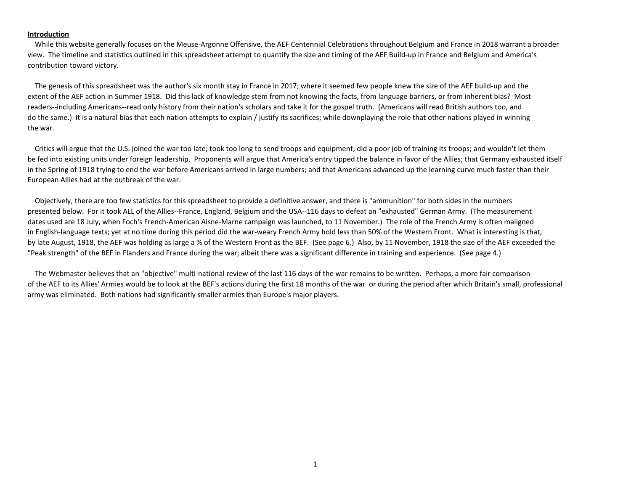#### **Introduction**

 While this website generally focuses on the Meuse-Argonne Offensive, the AEF Centennial Celebrations throughout Belgium and France in 2018 warrant a broader view. The timeline and statistics outlined in this spreadsheet attempt to quantify the size and timing of the AEF Build-up in France and Belgium and America's contribution toward victory.

 The genesis of this spreadsheet was the author's six month stay in France in 2017; where it seemed few people knew the size of the AEF build-up and the extent of the AEF action in Summer 1918. Did this lack of knowledge stem from not knowing the facts, from language barriers, or from inherent bias? Most readers--including Americans--read only history from their nation's scholars and take it for the gospel truth. (Americans will read British authors too, and do the same.) It is a natural bias that each nation attempts to explain / justify its sacrifices; while downplaying the role that other nations played in winning the war.

 Critics will argue that the U.S. joined the war too late; took too long to send troops and equipment; did a poor job of training its troops; and wouldn't let them be fed into existing units under foreign leadership. Proponents will argue that America's entry tipped the balance in favor of the Allies; that Germany exhausted itself in the Spring of 1918 trying to end the war before Americans arrived in large numbers; and that Americans advanced up the learning curve much faster than their European Allies had at the outbreak of the war.

 Objectively, there are too few statistics for this spreadsheet to provide a definitive answer, and there is "ammunition" for both sides in the numbers presented below. For it took ALL of the Allies--France, England, Belgium and the USA--116 days to defeat an "exhausted" German Army. (The measurement dates used are 18 July, when Foch's French-American Aisne-Marne campaign was launched, to 11 November.) The role of the French Army is often maligned in English-language texts; yet at no time during this period did the war-weary French Army hold less than 50% of the Western Front. What is interesting is that, by late August, 1918, the AEF was holding as large a % of the Western Front as the BEF. (See page 6.) Also, by 11 November, 1918 the size of the AEF exceeded the "Peak strength" of the BEF in Flanders and France during the war; albeit there was a significant difference in training and experience. (See page 4.)

 The Webmaster believes that an "objective" multi-national review of the last 116 days of the war remains to be written. Perhaps, a more fair comparison of the AEF to its Allies' Armies would be to look at the BEF's actions during the first 18 months of the war or during the period after which Britain's small, professional army was eliminated. Both nations had significantly smaller armies than Europe's major players.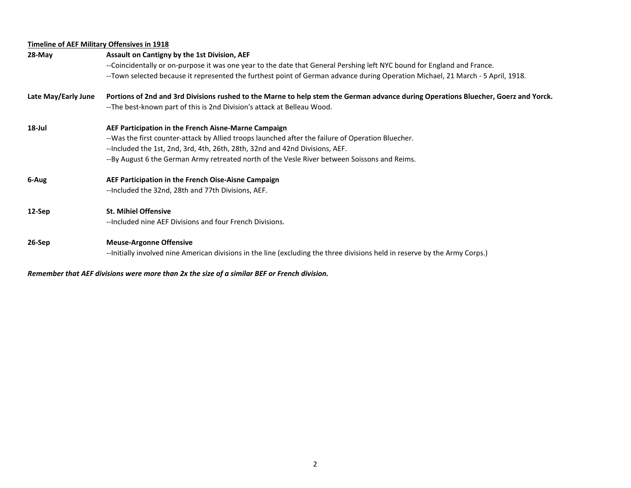# **Timeline of AEF Military Offensives in 1918**

| 28-May              | Assault on Cantigny by the 1st Division, AEF                                                                                       |  |  |  |  |  |  |  |
|---------------------|------------------------------------------------------------------------------------------------------------------------------------|--|--|--|--|--|--|--|
|                     | --Coincidentally or on-purpose it was one year to the date that General Pershing left NYC bound for England and France.            |  |  |  |  |  |  |  |
|                     | --Town selected because it represented the furthest point of German advance during Operation Michael, 21 March - 5 April, 1918.    |  |  |  |  |  |  |  |
| Late May/Early June | Portions of 2nd and 3rd Divisions rushed to the Marne to help stem the German advance during Operations Bluecher, Goerz and Yorck. |  |  |  |  |  |  |  |
|                     | --The best-known part of this is 2nd Division's attack at Belleau Wood.                                                            |  |  |  |  |  |  |  |
| 18-Jul              | AEF Participation in the French Aisne-Marne Campaign                                                                               |  |  |  |  |  |  |  |
|                     | --Was the first counter-attack by Allied troops launched after the failure of Operation Bluecher.                                  |  |  |  |  |  |  |  |
|                     | --Included the 1st, 2nd, 3rd, 4th, 26th, 28th, 32nd and 42nd Divisions, AEF.                                                       |  |  |  |  |  |  |  |
|                     | --By August 6 the German Army retreated north of the Vesle River between Soissons and Reims.                                       |  |  |  |  |  |  |  |
| 6-Aug               | AEF Participation in the French Oise-Aisne Campaign                                                                                |  |  |  |  |  |  |  |
|                     | --Included the 32nd, 28th and 77th Divisions, AEF.                                                                                 |  |  |  |  |  |  |  |
| 12-Sep              | <b>St. Mihiel Offensive</b>                                                                                                        |  |  |  |  |  |  |  |
|                     | --Included nine AEF Divisions and four French Divisions.                                                                           |  |  |  |  |  |  |  |
| 26-Sep              | <b>Meuse-Argonne Offensive</b>                                                                                                     |  |  |  |  |  |  |  |
|                     | --Initially involved nine American divisions in the line (excluding the three divisions held in reserve by the Army Corps.)        |  |  |  |  |  |  |  |
|                     |                                                                                                                                    |  |  |  |  |  |  |  |

*Remember that AEF divisions were more than 2x the size of a similar BEF or French division.*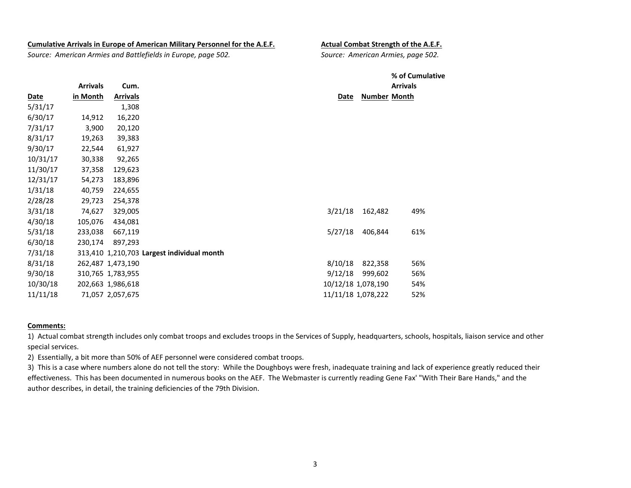#### **Cumulative Arrivals in Europe of American Military Personnel for the A.E.F. Actual Combat Strength of the A.E.F.**

*Source: American Armies and Battlefields in Europe, page 502. Source: American Armies, page 502.*

|          |                 |                   |                                            |                    | % of Cumulative     |                 |  |
|----------|-----------------|-------------------|--------------------------------------------|--------------------|---------------------|-----------------|--|
|          | <b>Arrivals</b> | Cum.              |                                            |                    |                     | <b>Arrivals</b> |  |
| Date     | in Month        | <b>Arrivals</b>   |                                            | Date               | <b>Number Month</b> |                 |  |
| 5/31/17  |                 | 1,308             |                                            |                    |                     |                 |  |
| 6/30/17  | 14,912          | 16,220            |                                            |                    |                     |                 |  |
| 7/31/17  | 3,900           | 20,120            |                                            |                    |                     |                 |  |
| 8/31/17  | 19,263          | 39,383            |                                            |                    |                     |                 |  |
| 9/30/17  | 22,544          | 61,927            |                                            |                    |                     |                 |  |
| 10/31/17 | 30,338          | 92,265            |                                            |                    |                     |                 |  |
| 11/30/17 | 37,358          | 129,623           |                                            |                    |                     |                 |  |
| 12/31/17 | 54,273          | 183,896           |                                            |                    |                     |                 |  |
| 1/31/18  | 40,759          | 224,655           |                                            |                    |                     |                 |  |
| 2/28/28  | 29,723          | 254,378           |                                            |                    |                     |                 |  |
| 3/31/18  | 74,627          | 329,005           |                                            | 3/21/18            | 162,482             | 49%             |  |
| 4/30/18  | 105,076         | 434,081           |                                            |                    |                     |                 |  |
| 5/31/18  | 233,038         | 667,119           |                                            | 5/27/18            | 406,844             | 61%             |  |
| 6/30/18  | 230,174         | 897,293           |                                            |                    |                     |                 |  |
| 7/31/18  |                 |                   | 313,410 1,210,703 Largest individual month |                    |                     |                 |  |
| 8/31/18  |                 | 262,487 1,473,190 |                                            | 8/10/18            | 822,358             | 56%             |  |
| 9/30/18  |                 | 310,765 1,783,955 |                                            | 9/12/18            | 999,602             | 56%             |  |
| 10/30/18 |                 | 202,663 1,986,618 |                                            |                    | 10/12/18 1,078,190  | 54%             |  |
| 11/11/18 |                 | 71,057 2,057,675  |                                            | 11/11/18 1,078,222 |                     | 52%             |  |

#### **Comments:**

1) Actual combat strength includes only combat troops and excludes troops in the Services of Supply, headquarters, schools, hospitals, liaison service and other special services.

2) Essentially, a bit more than 50% of AEF personnel were considered combat troops.

3) This is a case where numbers alone do not tell the story: While the Doughboys were fresh, inadequate training and lack of experience greatly reduced their effectiveness. This has been documented in numerous books on the AEF. The Webmaster is currently reading Gene Fax' "With Their Bare Hands," and the author describes, in detail, the training deficiencies of the 79th Division.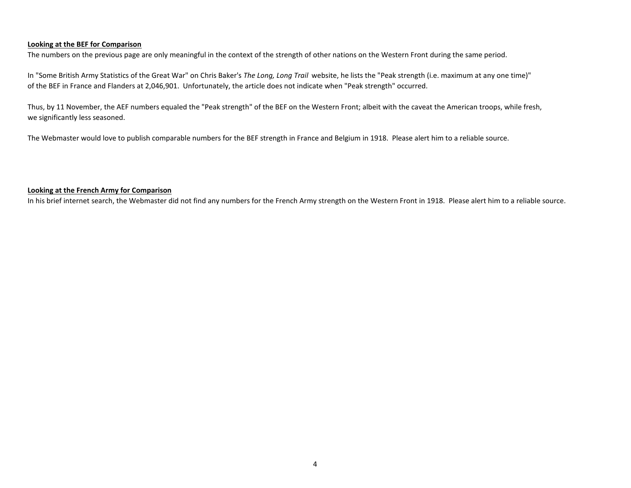## **Looking at the BEF for Comparison**

The numbers on the previous page are only meaningful in the context of the strength of other nations on the Western Front during the same period.

In "Some British Army Statistics of the Great War" on Chris Baker's *The Long, Long Trail* website, he lists the "Peak strength (i.e. maximum at any one time)" of the BEF in France and Flanders at 2,046,901. Unfortunately, the article does not indicate when "Peak strength" occurred.

Thus, by 11 November, the AEF numbers equaled the "Peak strength" of the BEF on the Western Front; albeit with the caveat the American troops, while fresh, we significantly less seasoned.

The Webmaster would love to publish comparable numbers for the BEF strength in France and Belgium in 1918. Please alert him to a reliable source.

## **Looking at the French Army for Comparison**

In his brief internet search, the Webmaster did not find any numbers for the French Army strength on the Western Front in 1918. Please alert him to a reliable source.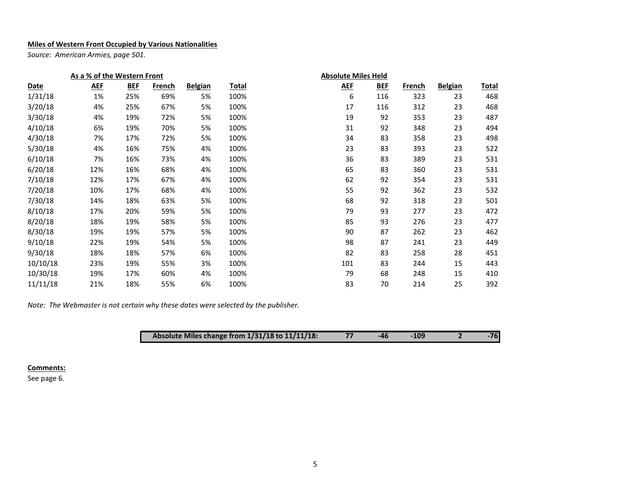# **Miles of Western Front Occupied by Various Nationalities**

*Source: American Armies, page 501.*

| As a % of the Western Front |            |            |        |                | <b>Absolute Miles Held</b> |            |            |               |                |              |
|-----------------------------|------------|------------|--------|----------------|----------------------------|------------|------------|---------------|----------------|--------------|
| <b>Date</b>                 | <b>AEF</b> | <b>BEF</b> | French | <b>Belgian</b> | <u>Total</u>               | <b>AEF</b> | <b>BEF</b> | <u>French</u> | <b>Belgian</b> | <b>Total</b> |
| 1/31/18                     | 1%         | 25%        | 69%    | 5%             | 100%                       | 6          | 116        | 323           | 23             | 468          |
| 3/20/18                     | 4%         | 25%        | 67%    | 5%             | 100%                       | 17         | 116        | 312           | 23             | 468          |
| 3/30/18                     | 4%         | 19%        | 72%    | 5%             | 100%                       | 19         | 92         | 353           | 23             | 487          |
| 4/10/18                     | 6%         | 19%        | 70%    | 5%             | 100%                       | 31         | 92         | 348           | 23             | 494          |
| 4/30/18                     | 7%         | 17%        | 72%    | 5%             | 100%                       | 34         | 83         | 358           | 23             | 498          |
| 5/30/18                     | 4%         | 16%        | 75%    | 4%             | 100%                       | 23         | 83         | 393           | 23             | 522          |
| 6/10/18                     | 7%         | 16%        | 73%    | 4%             | 100%                       | 36         | 83         | 389           | 23             | 531          |
| 6/20/18                     | 12%        | 16%        | 68%    | 4%             | 100%                       | 65         | 83         | 360           | 23             | 531          |
| 7/10/18                     | 12%        | 17%        | 67%    | 4%             | 100%                       | 62         | 92         | 354           | 23             | 531          |
| 7/20/18                     | 10%        | 17%        | 68%    | 4%             | 100%                       | 55         | 92         | 362           | 23             | 532          |
| 7/30/18                     | 14%        | 18%        | 63%    | 5%             | 100%                       | 68         | 92         | 318           | 23             | 501          |
| 8/10/18                     | 17%        | 20%        | 59%    | 5%             | 100%                       | 79         | 93         | 277           | 23             | 472          |
| 8/20/18                     | 18%        | 19%        | 58%    | 5%             | 100%                       | 85         | 93         | 276           | 23             | 477          |
| 8/30/18                     | 19%        | 19%        | 57%    | 5%             | 100%                       | 90         | 87         | 262           | 23             | 462          |
| 9/10/18                     | 22%        | 19%        | 54%    | 5%             | 100%                       | 98         | 87         | 241           | 23             | 449          |
| 9/30/18                     | 18%        | 18%        | 57%    | 6%             | 100%                       | 82         | 83         | 258           | 28             | 451          |
| 10/10/18                    | 23%        | 19%        | 55%    | 3%             | 100%                       | 101        | 83         | 244           | 15             | 443          |
| 10/30/18                    | 19%        | 17%        | 60%    | 4%             | 100%                       | 79         | 68         | 248           | 15             | 410          |
| 11/11/18                    | 21%        | 18%        | 55%    | 6%             | 100%                       | 83         | 70         | 214           | 25             | 392          |

*Note: The Webmaster is not certain why these dates were selected by the publisher.*

| Absolute Miles change from 1/31/18 to 11/11/18: |  | $-46$ | $-109$ |  | $-76$ |
|-------------------------------------------------|--|-------|--------|--|-------|
|-------------------------------------------------|--|-------|--------|--|-------|

## **Comments:**

See page 6.